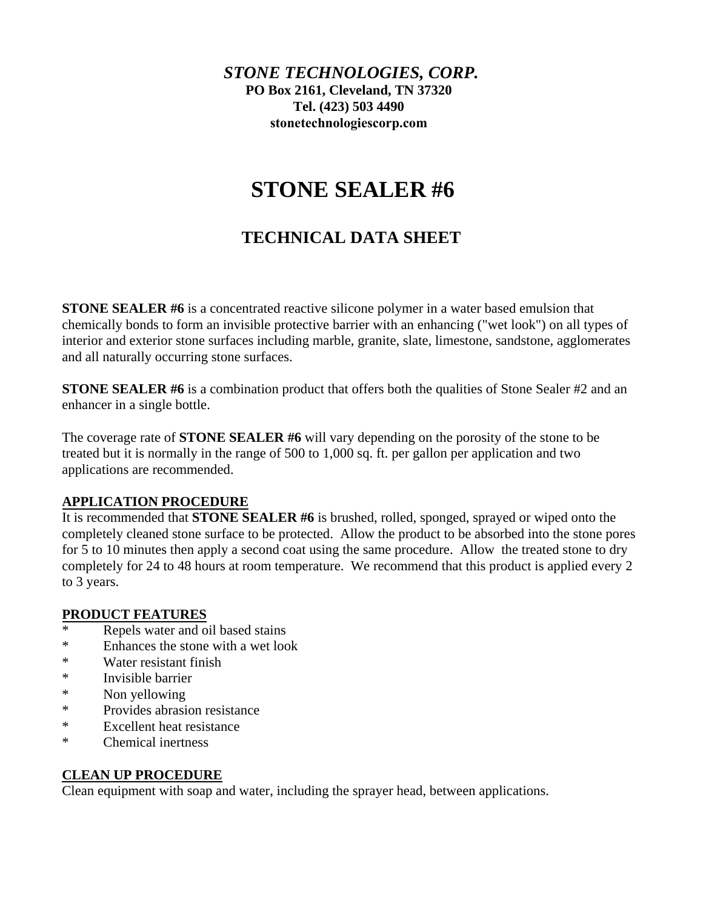# *STONE TECHNOLOGIES, CORP.* **PO Box 2161, Cleveland, TN 37320 Tel. (423) 503 4490 [stonetechnologiescorp.com](https://stonetechnologiescorp.com)**

# **STONE SEALER #6**

# **TECHNICAL DATA SHEET**

**STONE SEALER #6** is a concentrated reactive silicone polymer in a water based emulsion that chemically bonds to form an invisible protective barrier with an enhancing ("wet look") on all types of interior and exterior stone surfaces including marble, granite, slate, limestone, sandstone, agglomerates and all naturally occurring stone surfaces.

**STONE SEALER #6** is a combination product that offers both the qualities of Stone Sealer #2 and an enhancer in a single bottle.

The coverage rate of **STONE SEALER #6** will vary depending on the porosity of the stone to be treated but it is normally in the range of 500 to 1,000 sq. ft. per gallon per application and two applications are recommended.

# **APPLICATION PROCEDURE**

It is recommended that **STONE SEALER #6** is brushed, rolled, sponged, sprayed or wiped onto the completely cleaned stone surface to be protected. Allow the product to be absorbed into the stone pores for 5 to 10 minutes then apply a second coat using the same procedure. Allow the treated stone to dry completely for 24 to 48 hours at room temperature. We recommend that this product is applied every 2 to 3 years.

#### **PRODUCT FEATURES**

- Repels water and oil based stains
- \* Enhances the stone with a wet look
- \* Water resistant finish
- \* Invisible barrier
- \* Non yellowing
- \* Provides abrasion resistance
- \* Excellent heat resistance
- \* Chemical inertness

#### **CLEAN UP PROCEDURE**

Clean equipment with soap and water, including the sprayer head, between applications.